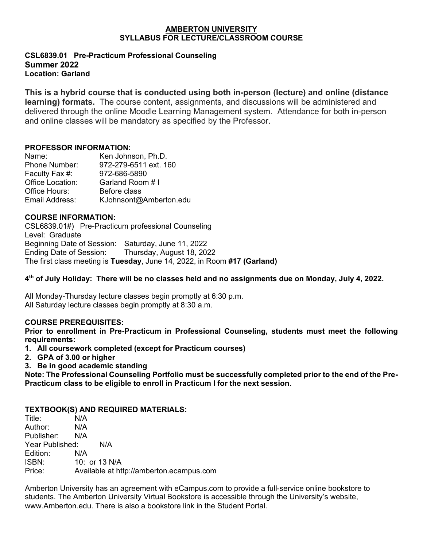#### **AMBERTON UNIVERSITY SYLLABUS FOR LECTURE/CLASSROOM COURSE**

#### **CSL6839.01 Pre-Practicum Professional Counseling Summer 2022 Location: Garland**

**This is a hybrid course that is conducted using both in-person (lecture) and online (distance learning) formats.** The course content, assignments, and discussions will be administered and delivered through the online Moodle Learning Management system. Attendance for both in-person and online classes will be mandatory as specified by the Professor.

### **PROFESSOR INFORMATION:**

| Name:            | Ken Johnson, Ph.D.     |
|------------------|------------------------|
| Phone Number:    | 972-279-6511 ext. 160  |
| Faculty Fax #:   | 972-686-5890           |
| Office Location: | Garland Room # I       |
| Office Hours:    | Before class           |
| Email Address:   | KJohnsont@Amberton.edu |

### **COURSE INFORMATION:**

CSL6839.01#)Pre-Practicum professional Counseling Level: Graduate Beginning Date of Session: Saturday, June 11, 2022 Ending Date of Session: Thursday, August 18, 2022 The first class meeting is **Tuesday**, June 14, 2022, in Room **#17 (Garland)**

**4th of July Holiday: There will be no classes held and no assignments due on Monday, July 4, 2022.**

All Monday-Thursday lecture classes begin promptly at 6:30 p.m. All Saturday lecture classes begin promptly at 8:30 a.m.

## **COURSE PREREQUISITES:**

**Prior to enrollment in Pre-Practicum in Professional Counseling, students must meet the following requirements:**

- **1. All coursework completed (except for Practicum courses)**
- **2. GPA of 3.00 or higher**
- **3. Be in good academic standing**

**Note: The Professional Counseling Portfolio must be successfully completed prior to the end of the Pre-Practicum class to be eligible to enroll in Practicum I for the next session.**

## **TEXTBOOK(S) AND REQUIRED MATERIALS:**

| Title:<br>N/A                                      |  |
|----------------------------------------------------|--|
| Author:<br>N/A                                     |  |
| Publisher: N/A                                     |  |
| Year Published:<br>N/A                             |  |
| Edition:<br>N/A                                    |  |
| ISBN:<br>10: or 13 N/A                             |  |
| Available at http://amberton.ecampus.com<br>Price: |  |

Amberton University has an agreement with eCampus.com to provide a full-service online bookstore to students. The Amberton University Virtual Bookstore is accessible through the University's website, www.Amberton.edu. There is also a bookstore link in the Student Portal.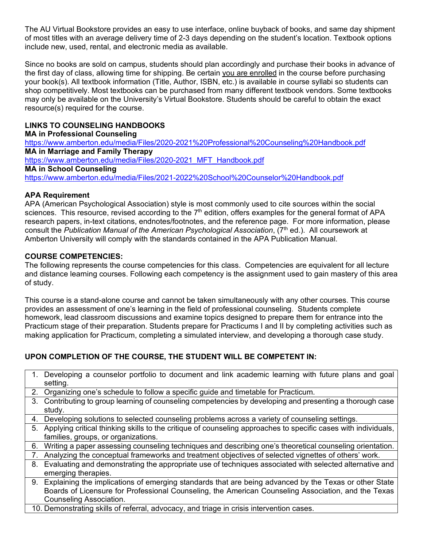The AU Virtual Bookstore provides an easy to use interface, online buyback of books, and same day shipment of most titles with an average delivery time of 2-3 days depending on the student's location. Textbook options include new, used, rental, and electronic media as available.

Since no books are sold on campus, students should plan accordingly and purchase their books in advance of the first day of class, allowing time for shipping. Be certain you are enrolled in the course before purchasing your book(s). All textbook information (Title, Author, ISBN, etc.) is available in course syllabi so students can shop competitively. Most textbooks can be purchased from many different textbook vendors. Some textbooks may only be available on the University's Virtual Bookstore. Students should be careful to obtain the exact resource(s) required for the course.

# **LINKS TO COUNSELING HANDBOOKS**

**MA in Professional Counseling** <https://www.amberton.edu/media/Files/2020-2021%20Professional%20Counseling%20Handbook.pdf> **MA in Marriage and Family Therapy** [https://www.amberton.edu/media/Files/2020-2021\\_MFT\\_Handbook.pdf](https://www.amberton.edu/media/Files/2020-2021_MFT_Handbook.pdf) **MA in School Counseling** <https://www.amberton.edu/media/Files/2021-2022%20School%20Counselor%20Handbook.pdf>

## **APA Requirement**

APA (American Psychological Association) style is most commonly used to cite sources within the social sciences. This resource, revised according to the  $7<sup>th</sup>$  edition, offers examples for the general format of APA research papers, in-text citations, endnotes/footnotes, and the reference page. For more information, please consult the *Publication Manual of the American Psychological Association*, (7th ed.). All coursework at Amberton University will comply with the standards contained in the APA Publication Manual.

## **COURSE COMPETENCIES:**

The following represents the course competencies for this class. Competencies are equivalent for all lecture and distance learning courses. Following each competency is the assignment used to gain mastery of this area of study.

This course is a stand-alone course and cannot be taken simultaneously with any other courses. This course provides an assessment of one's learning in the field of professional counseling. Students complete homework, lead classroom discussions and examine topics designed to prepare them for entrance into the Practicum stage of their preparation. Students prepare for Practicums I and II by completing activities such as making application for Practicum, completing a simulated interview, and developing a thorough case study.

# **UPON COMPLETION OF THE COURSE, THE STUDENT WILL BE COMPETENT IN:**

| $1_{-}$ | Developing a counselor portfolio to document and link academic learning with future plans and goal             |
|---------|----------------------------------------------------------------------------------------------------------------|
|         | setting.                                                                                                       |
| 2.      | Organizing one's schedule to follow a specific guide and timetable for Practicum.                              |
|         | 3. Contributing to group learning of counseling competencies by developing and presenting a thorough case      |
|         | study.                                                                                                         |
| 4.      | Developing solutions to selected counseling problems across a variety of counseling settings.                  |
| 5.      | Applying critical thinking skills to the critique of counseling approaches to specific cases with individuals, |
|         | families, groups, or organizations.                                                                            |
| 6.      | Writing a paper assessing counseling techniques and describing one's theoretical counseling orientation.       |
| 7.      | Analyzing the conceptual frameworks and treatment objectives of selected vignettes of others' work.            |
| 8.      | Evaluating and demonstrating the appropriate use of techniques associated with selected alternative and        |
|         | emerging therapies.                                                                                            |
| 9.      | Explaining the implications of emerging standards that are being advanced by the Texas or other State          |
|         | Boards of Licensure for Professional Counseling, the American Counseling Association, and the Texas            |
|         | Counseling Association.                                                                                        |
|         | $\overline{A}$                                                                                                 |

10. Demonstrating skills of referral, advocacy, and triage in crisis intervention cases.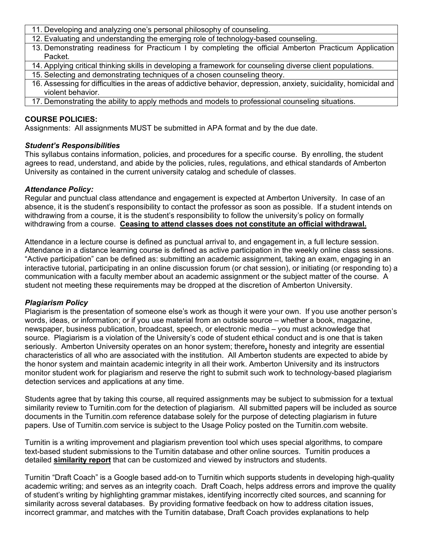- 11. Developing and analyzing one's personal philosophy of counseling.
- 12. Evaluating and understanding the emerging role of technology-based counseling.
- 13. Demonstrating readiness for Practicum I by completing the official Amberton Practicum Application Packet.
- 14. Applying critical thinking skills in developing a framework for counseling diverse client populations.
- 15. Selecting and demonstrating techniques of a chosen counseling theory.
- 16. Assessing for difficulties in the areas of addictive behavior, depression, anxiety, suicidality, homicidal and violent behavior.
- 17. Demonstrating the ability to apply methods and models to professional counseling situations.

### **COURSE POLICIES:**

Assignments: All assignments MUST be submitted in APA format and by the due date.

### *Student's Responsibilities*

This syllabus contains information, policies, and procedures for a specific course. By enrolling, the student agrees to read, understand, and abide by the policies, rules, regulations, and ethical standards of Amberton University as contained in the current university catalog and schedule of classes.

### *Attendance Policy:*

Regular and punctual class attendance and engagement is expected at Amberton University. In case of an absence, it is the student's responsibility to contact the professor as soon as possible. If a student intends on withdrawing from a course, it is the student's responsibility to follow the university's policy on formally withdrawing from a course. **Ceasing to attend classes does not constitute an official withdrawal.**

Attendance in a lecture course is defined as punctual arrival to, and engagement in, a full lecture session. Attendance in a distance learning course is defined as active participation in the weekly online class sessions. "Active participation" can be defined as: submitting an academic assignment, taking an exam, engaging in an interactive tutorial, participating in an online discussion forum (or chat session), or initiating (or responding to) a communication with a faculty member about an academic assignment or the subject matter of the course. A student not meeting these requirements may be dropped at the discretion of Amberton University.

### *Plagiarism Policy*

Plagiarism is the presentation of someone else's work as though it were your own. If you use another person's words, ideas, or information; or if you use material from an outside source – whether a book, magazine, newspaper, business publication, broadcast, speech, or electronic media – you must acknowledge that source. Plagiarism is a violation of the University's code of student ethical conduct and is one that is taken seriously. Amberton University operates on an honor system; therefore**,** honesty and integrity are essential characteristics of all who are associated with the institution. All Amberton students are expected to abide by the honor system and maintain academic integrity in all their work. Amberton University and its instructors monitor student work for plagiarism and reserve the right to submit such work to technology-based plagiarism detection services and applications at any time.

Students agree that by taking this course, all required assignments may be subject to submission for a textual similarity review to Turnitin.com for the detection of plagiarism. All submitted papers will be included as source documents in the Turnitin.com reference database solely for the purpose of detecting plagiarism in future papers. Use of Turnitin.com service is subject to the Usage Policy posted on the Turnitin.com website.

Turnitin is a writing improvement and plagiarism prevention tool which uses special algorithms, to compare text-based student submissions to the Turnitin database and other online sources. Turnitin produces a detailed **similarity report** that can be customized and viewed by instructors and students.

Turnitin "Draft Coach" is a Google based add-on to Turnitin which supports students in developing high-quality academic writing; and serves as an integrity coach. Draft Coach, helps address errors and improve the quality of student's writing by highlighting grammar mistakes, identifying incorrectly cited sources, and scanning for similarity across several databases. By providing formative feedback on how to address citation issues, incorrect grammar, and matches with the Turnitin database, Draft Coach provides explanations to help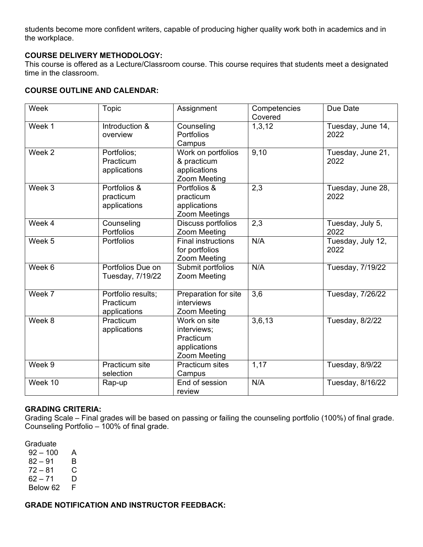students become more confident writers, capable of producing higher quality work both in academics and in the workplace.

## **COURSE DELIVERY METHODOLOGY:**

This course is offered as a Lecture/Classroom course. This course requires that students meet a designated time in the classroom.

#### **COURSE OUTLINE AND CALENDAR:**

| Week              | <b>Topic</b>                                    | Assignment                                                               | Competencies<br>Covered | Due Date                  |
|-------------------|-------------------------------------------------|--------------------------------------------------------------------------|-------------------------|---------------------------|
| Week 1            | Introduction &<br>overview                      | Counseling<br>Portfolios<br>Campus                                       | 1,3,12                  | Tuesday, June 14,<br>2022 |
| Week <sub>2</sub> | Portfolios;<br>Practicum<br>applications        | Work on portfolios<br>& practicum<br>applications<br>Zoom Meeting        | 9,10                    | Tuesday, June 21,<br>2022 |
| Week 3            | Portfolios &<br>practicum<br>applications       | Portfolios &<br>practicum<br>applications<br>Zoom Meetings               | 2,3                     | Tuesday, June 28,<br>2022 |
| Week 4            | Counseling<br>Portfolios                        | Discuss portfolios<br>Zoom Meeting                                       | 2,3                     | Tuesday, July 5,<br>2022  |
| Week 5            | Portfolios                                      | <b>Final instructions</b><br>for portfolios<br>Zoom Meeting              | N/A                     | Tuesday, July 12,<br>2022 |
| Week 6            | Portfolios Due on<br>Tuesday, 7/19/22           | Submit portfolios<br>Zoom Meeting                                        | N/A                     | Tuesday, 7/19/22          |
| Week 7            | Portfolio results;<br>Practicum<br>applications | Preparation for site<br>interviews<br>Zoom Meeting                       | 3,6                     | Tuesday, 7/26/22          |
| Week 8            | Practicum<br>applications                       | Work on site<br>interviews;<br>Practicum<br>applications<br>Zoom Meeting | 3,6,13                  | Tuesday, 8/2/22           |
| Week 9            | Practicum site<br>selection                     | <b>Practicum sites</b><br>Campus                                         | 1,17                    | Tuesday, 8/9/22           |
| Week 10           | Rap-up                                          | End of session<br>review                                                 | N/A                     | Tuesday, 8/16/22          |

#### **GRADING CRITERIA:**

Grading Scale – Final grades will be based on passing or failing the counseling portfolio (100%) of final grade. Counseling Portfolio – 100% of final grade.

Graduate

 $92 - 100$  A  $82 - 91$  B  $72 - 81$  C<br>62 – 71 D  $62 - 71$  D<br>Below 62 F Below 62

**GRADE NOTIFICATION AND INSTRUCTOR FEEDBACK:**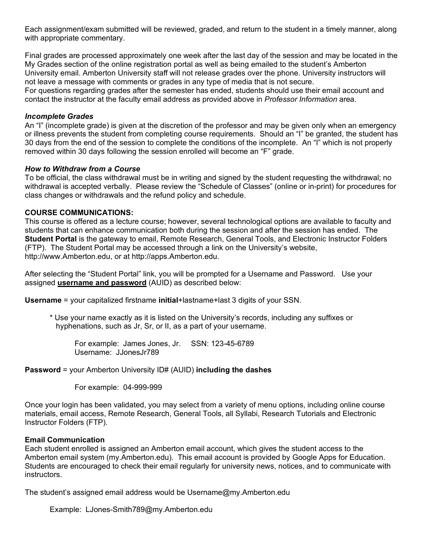Each assignment/exam submitted will be reviewed, graded, and return to the student in a timely manner, along with appropriate commentary.

Final grades are processed approximately one week after the last day of the session and may be located in the My Grades section of the online registration portal as well as being emailed to the student's Amberton University email. Amberton University staff will not release grades over the phone. University instructors will not leave a message with comments or grades in any type of media that is not secure.

For questions regarding grades after the semester has ended, students should use their email account and contact the instructor at the faculty email address as provided above in *Professor Information* area.

#### *Incomplete Grades*

An "I" (incomplete grade) is given at the discretion of the professor and may be given only when an emergency or illness prevents the student from completing course requirements. Should an "I" be granted, the student has 30 days from the end of the session to complete the conditions of the incomplete. An "I" which is not properly removed within 30 days following the session enrolled will become an "F" grade.

#### *How to Withdraw from a Course*

To be official, the class withdrawal must be in writing and signed by the student requesting the withdrawal; no withdrawal is accepted verbally. Please review the "Schedule of Classes" (online or in-print) for procedures for class changes or withdrawals and the refund policy and schedule.

#### **COURSE COMMUNICATIONS:**

This course is offered as a lecture course; however, several technological options are available to faculty and students that can enhance communication both during the session and after the session has ended. The **Student Portal** is the gateway to email, Remote Research, General Tools, and Electronic Instructor Folders (FTP). The Student Portal may be accessed through a link on the University's website, http://www.Amberton.edu, or at http://apps.Amberton.edu.

After selecting the "Student Portal" link, you will be prompted for a Username and Password. Use your assigned **username and password** (AUID) as described below:

**Username** = your capitalized firstname **initial**+lastname+last 3 digits of your SSN.

\* Use your name exactly as it is listed on the University's records, including any suffixes or hyphenations, such as Jr, Sr, or II, as a part of your username.

For example: James Jones, Jr. SSN: 123-45-6789 Username: JJonesJr789

### **Password** = your Amberton University ID# (AUID) **including the dashes**

For example: 04-999-999

Once your login has been validated, you may select from a variety of menu options, including online course materials, email access, Remote Research, General Tools, all Syllabi, Research Tutorials and Electronic Instructor Folders (FTP).

#### **Email Communication**

Each student enrolled is assigned an Amberton email account, which gives the student access to the Amberton email system (my.Amberton.edu). This email account is provided by Google Apps for Education. Students are encouraged to check their email regularly for university news, notices, and to communicate with instructors.

The student's assigned email address would be Username@my.Amberton.edu

Example: LJones-Smith789@my.Amberton.edu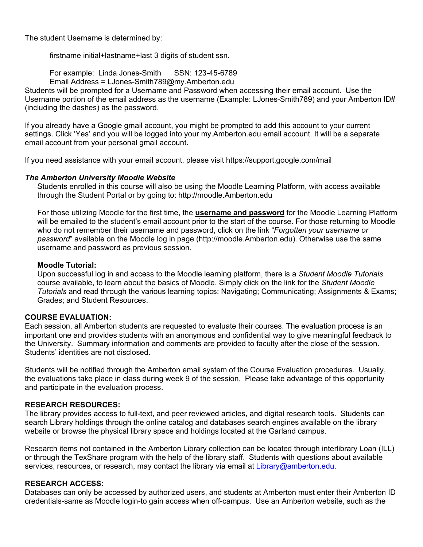The student Username is determined by:

firstname initial+lastname+last 3 digits of student ssn.

For example: Linda Jones-Smith SSN: 123-45-6789

Email Address = LJones-Smith789@my.Amberton.edu

Students will be prompted for a Username and Password when accessing their email account. Use the Username portion of the email address as the username (Example: LJones-Smith789) and your Amberton ID# (including the dashes) as the password.

If you already have a Google gmail account, you might be prompted to add this account to your current settings. Click 'Yes' and you will be logged into your my.Amberton.edu email account. It will be a separate email account from your personal gmail account.

If you need assistance with your email account, please visit https://support.google.com/mail

### *The Amberton University Moodle Website*

Students enrolled in this course will also be using the Moodle Learning Platform, with access available through the Student Portal or by going to: http://moodle.Amberton.edu

For those utilizing Moodle for the first time, the **username and password** for the Moodle Learning Platform will be emailed to the student's email account prior to the start of the course. For those returning to Moodle who do not remember their username and password, click on the link "*Forgotten your username or password*" available on the Moodle log in page (http://moodle.Amberton.edu). Otherwise use the same username and password as previous session.

#### **Moodle Tutorial:**

Upon successful log in and access to the Moodle learning platform, there is a *Student Moodle Tutorials* course available, to learn about the basics of Moodle. Simply click on the link for the *Student Moodle Tutorials* and read through the various learning topics: Navigating; Communicating; Assignments & Exams; Grades; and Student Resources.

#### **COURSE EVALUATION:**

Each session, all Amberton students are requested to evaluate their courses. The evaluation process is an important one and provides students with an anonymous and confidential way to give meaningful feedback to the University. Summary information and comments are provided to faculty after the close of the session. Students' identities are not disclosed.

Students will be notified through the Amberton email system of the Course Evaluation procedures. Usually, the evaluations take place in class during week 9 of the session. Please take advantage of this opportunity and participate in the evaluation process.

### **RESEARCH RESOURCES:**

The library provides access to full-text, and peer reviewed articles, and digital research tools. Students can search Library holdings through the online catalog and databases search engines available on the library website or browse the physical library space and holdings located at the Garland campus.

Research items not contained in the Amberton Library collection can be located through interlibrary Loan (ILL) or through the TexShare program with the help of the library staff. Students with questions about available services, resources, or research, may contact the library via email at [Library@amberton.edu.](mailto:Library@amberton.edu)

### **RESEARCH ACCESS:**

Databases can only be accessed by authorized users, and students at Amberton must enter their Amberton ID credentials-same as Moodle login-to gain access when off-campus. Use an Amberton website, such as the